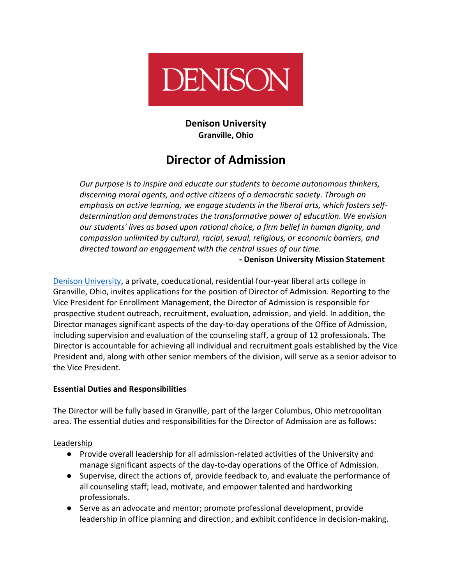

**Denison University Granville, Ohio**

# **Director of Admission**

*Our purpose is to inspire and educate our students to become autonomous thinkers, discerning moral agents, and active citizens of a democratic society. Through an emphasis on active learning, we engage students in the liberal arts, which fosters selfdetermination and demonstrates the transformative power of education. We envision our students' lives as based upon rational choice, a firm belief in human dignity, and compassion unlimited by cultural, racial, sexual, religious, or economic barriers, and directed toward an engagement with the central issues of our time.*

**- Denison University Mission Statement**

[Denison University,](http://denison.edu/) a private, coeducational, residential four-year liberal arts college in Granville, Ohio, invites applications for the position of Director of Admission. Reporting to the Vice President for Enrollment Management, the Director of Admission is responsible for prospective student outreach, recruitment, evaluation, admission, and yield. In addition, the Director manages significant aspects of the day-to-day operations of the Office of Admission, including supervision and evaluation of the counseling staff, a group of 12 professionals. The Director is accountable for achieving all individual and recruitment goals established by the Vice President and, along with other senior members of the division, will serve as a senior advisor to the Vice President.

## **Essential Duties and Responsibilities**

The Director will be fully based in Granville, part of the larger Columbus, Ohio metropolitan area. The essential duties and responsibilities for the Director of Admission are as follows:

Leadership

- Provide overall leadership for all admission-related activities of the University and manage significant aspects of the day-to-day operations of the Office of Admission.
- Supervise, direct the actions of, provide feedback to, and evaluate the performance of all counseling staff; lead, motivate, and empower talented and hardworking professionals.
- Serve as an advocate and mentor; promote professional development, provide leadership in office planning and direction, and exhibit confidence in decision-making.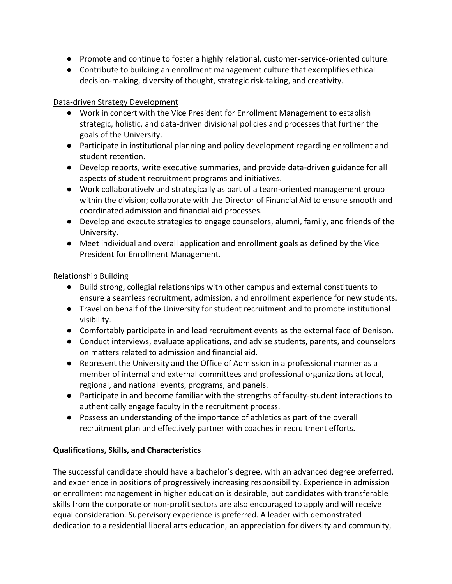- Promote and continue to foster a highly relational, customer-service-oriented culture.
- Contribute to building an enrollment management culture that exemplifies ethical decision-making, diversity of thought, strategic risk-taking, and creativity.

#### Data-driven Strategy Development

- Work in concert with the Vice President for Enrollment Management to establish strategic, holistic, and data-driven divisional policies and processes that further the goals of the University.
- Participate in institutional planning and policy development regarding enrollment and student retention.
- Develop reports, write executive summaries, and provide data-driven guidance for all aspects of student recruitment programs and initiatives.
- Work collaboratively and strategically as part of a team-oriented management group within the division; collaborate with the Director of Financial Aid to ensure smooth and coordinated admission and financial aid processes.
- Develop and execute strategies to engage counselors, alumni, family, and friends of the University.
- Meet individual and overall application and enrollment goals as defined by the Vice President for Enrollment Management.

## Relationship Building

- Build strong, collegial relationships with other campus and external constituents to ensure a seamless recruitment, admission, and enrollment experience for new students.
- Travel on behalf of the University for student recruitment and to promote institutional visibility.
- Comfortably participate in and lead recruitment events as the external face of Denison.
- Conduct interviews, evaluate applications, and advise students, parents, and counselors on matters related to admission and financial aid.
- Represent the University and the Office of Admission in a professional manner as a member of internal and external committees and professional organizations at local, regional, and national events, programs, and panels.
- Participate in and become familiar with the strengths of faculty-student interactions to authentically engage faculty in the recruitment process.
- Possess an understanding of the importance of athletics as part of the overall recruitment plan and effectively partner with coaches in recruitment efforts.

## **Qualifications, Skills, and Characteristics**

The successful candidate should have a bachelor's degree, with an advanced degree preferred, and experience in positions of progressively increasing responsibility. Experience in admission or enrollment management in higher education is desirable, but candidates with transferable skills from the corporate or non-profit sectors are also encouraged to apply and will receive equal consideration. Supervisory experience is preferred. A leader with demonstrated dedication to a residential liberal arts education, an appreciation for diversity and community,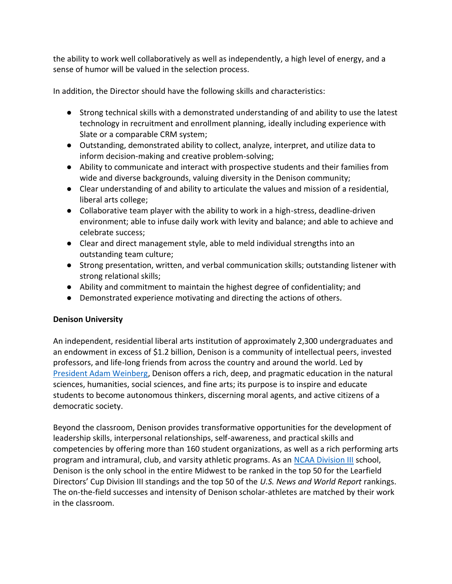the ability to work well collaboratively as well as independently, a high level of energy, and a sense of humor will be valued in the selection process.

In addition, the Director should have the following skills and characteristics:

- Strong technical skills with a demonstrated understanding of and ability to use the latest technology in recruitment and enrollment planning, ideally including experience with Slate or a comparable CRM system;
- Outstanding, demonstrated ability to collect, analyze, interpret, and utilize data to inform decision-making and creative problem-solving;
- Ability to communicate and interact with prospective students and their families from wide and diverse backgrounds, valuing diversity in the Denison community;
- Clear understanding of and ability to articulate the values and mission of a residential, liberal arts college;
- Collaborative team player with the ability to work in a high-stress, deadline-driven environment; able to infuse daily work with levity and balance; and able to achieve and celebrate success;
- Clear and direct management style, able to meld individual strengths into an outstanding team culture;
- Strong presentation, written, and verbal communication skills; outstanding listener with strong relational skills;
- Ability and commitment to maintain the highest degree of confidentiality; and
- Demonstrated experience motivating and directing the actions of others.

## **Denison University**

An independent, residential liberal arts institution of approximately 2,300 undergraduates and an endowment in excess of \$1.2 billion, Denison is a community of intellectual peers, invested professors, and life-long friends from across the country and around the world. Led by [President Adam Weinberg,](https://denison.edu/campus/president/adam-s-weinberg) Denison offers a rich, deep, and pragmatic education in the natural sciences, humanities, social sciences, and fine arts; its purpose is to inspire and educate students to become autonomous thinkers, discerning moral agents, and active citizens of a democratic society.

Beyond the classroom, Denison provides transformative opportunities for the development of leadership skills, interpersonal relationships, self-awareness, and practical skills and competencies by offering more than 160 student organizations, as well as a rich performing arts program and intramural, club, and varsity athletic programs. As an [NCAA Division III](https://www.denisonbigred.com/) school, Denison is the only school in the entire Midwest to be ranked in the top 50 for the Learfield Directors' Cup Division III standings and the top 50 of the *U.S. News and World Report* rankings. The on-the-field successes and intensity of Denison scholar-athletes are matched by their work in the classroom.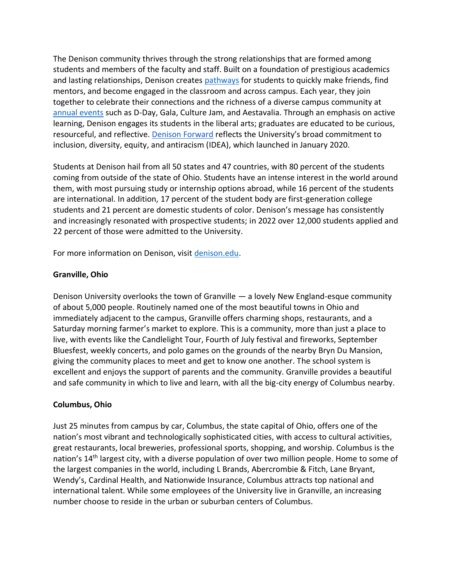The Denison community thrives through the strong relationships that are formed among students and members of the faculty and staff. Built on a foundation of prestigious academics and lasting relationships, Denison creates [pathways](https://denison.edu/academics/curriculum) for students to quickly make friends, find mentors, and become engaged in the classroom and across campus. Each year, they join together to celebrate their connections and the richness of a diverse campus community at [annual events](https://denison.edu/campus/get-involved/denison-traditions) such as D-Day, Gala, Culture Jam, and Aestavalia. Through an emphasis on active learning, Denison engages its students in the liberal arts; graduates are educated to be curious, resourceful, and reflective[. Denison Forward](https://denison.edu/campus/denison-forward) reflects the University's broad commitment to inclusion, diversity, equity, and antiracism (IDEA), which launched in January 2020.

Students at Denison hail from all 50 states and 47 countries, with 80 percent of the students coming from outside of the state of Ohio. Students have an intense interest in the world around them, with most pursuing study or internship options abroad, while 16 percent of the students are international. In addition, 17 percent of the student body are first-generation college students and 21 percent are domestic students of color. Denison's message has consistently and increasingly resonated with prospective students; in 2022 over 12,000 students applied and 22 percent of those were admitted to the University.

For more information on Denison, visit [denison.edu.](https://www.denison.edu/)

#### **Granville, Ohio**

Denison University overlooks the town of Granville — a lovely New England-esque community of about 5,000 people. Routinely named one of the most beautiful towns in Ohio and immediately adjacent to the campus, Granville offers charming shops, restaurants, and a Saturday morning farmer's market to explore. This is a community, more than just a place to live, with events like the Candlelight Tour, Fourth of July festival and fireworks, September Bluesfest, weekly concerts, and polo games on the grounds of the nearby Bryn Du Mansion, giving the community places to meet and get to know one another. The school system is excellent and enjoys the support of parents and the community. Granville provides a beautiful and safe community in which to live and learn, with all the big-city energy of Columbus nearby.

#### **Columbus, Ohio**

Just 25 minutes from campus by car, Columbus, the state capital of Ohio, offers one of the nation's most vibrant and technologically sophisticated cities, with access to cultural activities, great restaurants, local breweries, professional sports, shopping, and worship. Columbus is the nation's 14<sup>th</sup> largest city, with a diverse population of over two million people. Home to some of the largest companies in the world, including L Brands, Abercrombie & Fitch, Lane Bryant, Wendy's, Cardinal Health, and Nationwide Insurance, Columbus attracts top national and international talent. While some employees of the University live in Granville, an increasing number choose to reside in the urban or suburban centers of Columbus.